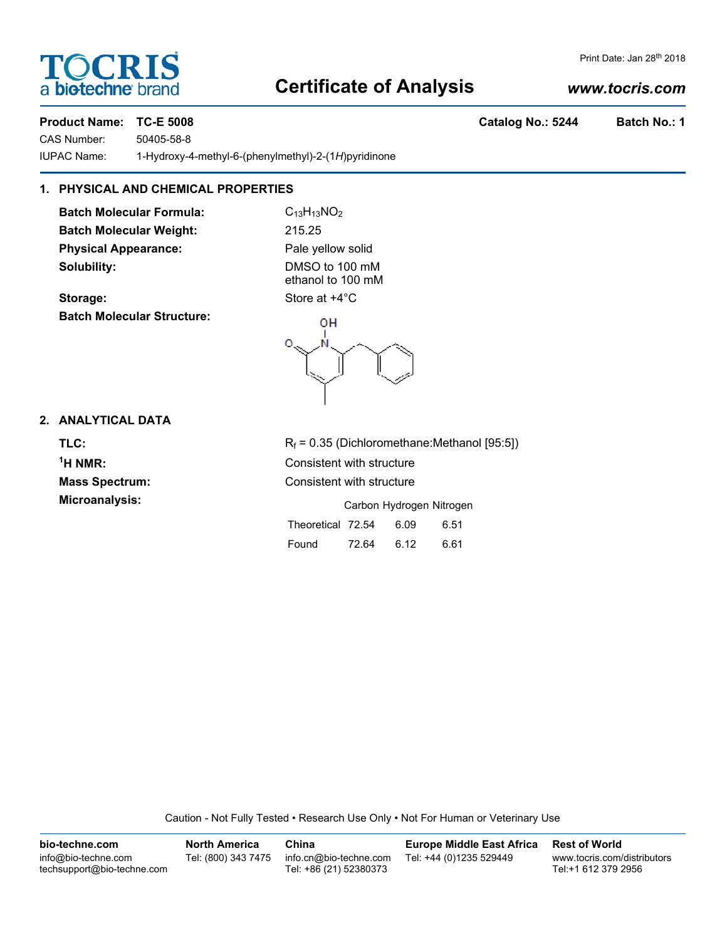# **Certificate of Analysis**

## *www.tocris.com*

Print Date: Jan 28<sup>th</sup> 2018

**TOCRIS** 

a **biotechne** br

CAS Number: 50405-58-8 IUPAC Name: 1-Hydroxy-4-methyl-6-(phenylmethyl)-2-(1*H*)pyridinone

# **1. PHYSICAL AND CHEMICAL PROPERTIES**

**Batch Molecular Formula:** C<sub>13</sub>H<sub>13</sub>NO<sub>2</sub> **Batch Molecular Weight:** 215.25 **Physical Appearance:** Pale yellow solid **Solubility:** DMSO to 100 mM

**Storage:** Store at  $+4^{\circ}$ C **Batch Molecular Structure:**

ethanol to 100 mM



# **2. ANALYTICAL DATA**

 $<sup>1</sup>H NMR$ :</sup>

**TLC:**  $R_f = 0.35$  (Dichloromethane:Methanol [95:5]) **Consistent with structure Mass Spectrum:** Consistent with structure **Microanalysis:** Microanalysis: **Carbon Hydrogen Nitrogen** Theoretical 72.54 6.09 6.51 Found 72.64 6.12 6.61

Caution - Not Fully Tested • Research Use Only • Not For Human or Veterinary Use

**bio-techne.com** info@bio-techne.com techsupport@bio-techne.com **North America** Tel: (800) 343 7475 **China** info.cn@bio-techne.com Tel: +86 (21) 52380373 **Europe Middle East Africa** Tel: +44 (0)1235 529449 **Rest of World** www.tocris.com/distributors Tel:+1 612 379 2956

**Product Name: TC-E 5008 Catalog No.: 5244 Batch No.: 1**